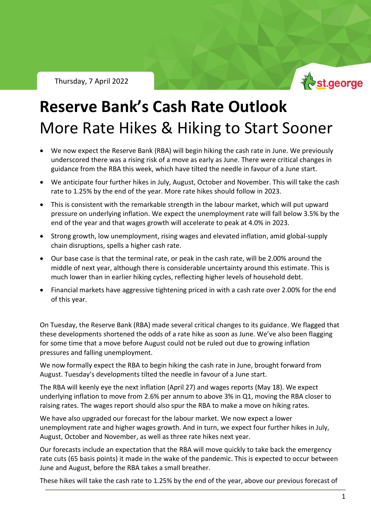Thursday, 7 April 2022



# **Reserve Bank's Cash Rate Outlook** More Rate Hikes & Hiking to Start Sooner

- We now expect the Reserve Bank (RBA) will begin hiking the cash rate in June. We previously underscored there was a rising risk of a move as early as June. There were critical changes in guidance from the RBA this week, which have tilted the needle in favour of a June start.
- We anticipate four further hikes in July, August, October and November. This will take the cash rate to 1.25% by the end of the year. More rate hikes should follow in 2023.
- This is consistent with the remarkable strength in the labour market, which will put upward pressure on underlying inflation. We expect the unemployment rate will fall below 3.5% by the end of the year and that wages growth will accelerate to peak at 4.0% in 2023.
- Strong growth, low unemployment, rising wages and elevated inflation, amid global-supply chain disruptions, spells a higher cash rate.
- Our base case is that the terminal rate, or peak in the cash rate, will be 2.00% around the middle of next year, although there is considerable uncertainty around this estimate. This is much lower than in earlier hiking cycles, reflecting higher levels of household debt.
- Financial markets have aggressive tightening priced in with a cash rate over 2.00% for the end of this year.

On Tuesday, the Reserve Bank (RBA) made several critical changes to its guidance. We flagged that these developments shortened the odds of a rate hike as soon as June. We've also been flagging for some time that a move before August could not be ruled out due to growing inflation pressures and falling unemployment.

We now formally expect the RBA to begin hiking the cash rate in June, brought forward from August. Tuesday's developments tilted the needle in favour of a June start.

The RBA will keenly eye the next inflation (April 27) and wages reports (May 18). We expect underlying inflation to move from 2.6% per annum to above 3% in Q1, moving the RBA closer to raising rates. The wages report should also spur the RBA to make a move on hiking rates.

We have also upgraded our forecast for the labour market. We now expect a lower unemployment rate and higher wages growth. And in turn, we expect four further hikes in July, August, October and November, as well as three rate hikes next year.

Our forecasts include an expectation that the RBA will move quickly to take back the emergency rate cuts (65 basis points) it made in the wake of the pandemic. This is expected to occur between June and August, before the RBA takes a small breather.

These hikes will take the cash rate to 1.25% by the end of the year, above our previous forecast of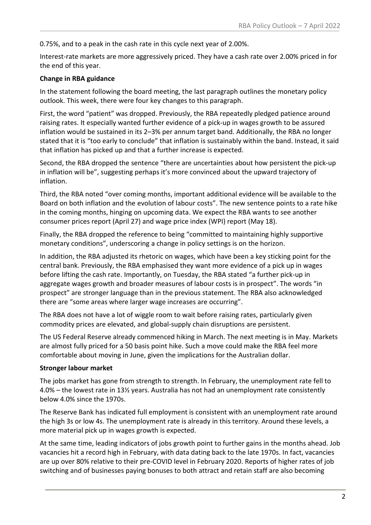0.75%, and to a peak in the cash rate in this cycle next year of 2.00%.

Interest-rate markets are more aggressively priced. They have a cash rate over 2.00% priced in for the end of this year.

#### **Change in RBA guidance**

In the statement following the board meeting, the last paragraph outlines the monetary policy outlook. This week, there were four key changes to this paragraph.

First, the word "patient" was dropped. Previously, the RBA repeatedly pledged patience around raising rates. It especially wanted further evidence of a pick-up in wages growth to be assured inflation would be sustained in its 2–3% per annum target band. Additionally, the RBA no longer stated that it is "too early to conclude" that inflation is sustainably within the band. Instead, it said that inflation has picked up and that a further increase is expected.

Second, the RBA dropped the sentence "there are uncertainties about how persistent the pick-up in inflation will be", suggesting perhaps it's more convinced about the upward trajectory of inflation.

Third, the RBA noted "over coming months, important additional evidence will be available to the Board on both inflation and the evolution of labour costs". The new sentence points to a rate hike in the coming months, hinging on upcoming data. We expect the RBA wants to see another consumer prices report (April 27) and wage price index (WPI) report (May 18).

Finally, the RBA dropped the reference to being "committed to maintaining highly supportive monetary conditions", underscoring a change in policy settings is on the horizon.

In addition, the RBA adjusted its rhetoric on wages, which have been a key sticking point for the central bank. Previously, the RBA emphasised they want more evidence of a pick up in wages before lifting the cash rate. Importantly, on Tuesday, the RBA stated "a further pick-up in aggregate wages growth and broader measures of labour costs is in prospect". The words "in prospect" are stronger language than in the previous statement. The RBA also acknowledged there are "some areas where larger wage increases are occurring".

The RBA does not have a lot of wiggle room to wait before raising rates, particularly given commodity prices are elevated, and global-supply chain disruptions are persistent.

The US Federal Reserve already commenced hiking in March. The next meeting is in May. Markets are almost fully priced for a 50 basis point hike. Such a move could make the RBA feel more comfortable about moving in June, given the implications for the Australian dollar.

### **Stronger labour market**

The jobs market has gone from strength to strength. In February, the unemployment rate fell to 4.0% – the lowest rate in 13½ years. Australia has not had an unemployment rate consistently below 4.0% since the 1970s.

The Reserve Bank has indicated full employment is consistent with an unemployment rate around the high 3s or low 4s. The unemployment rate is already in this territory. Around these levels, a more material pick up in wages growth is expected.

At the same time, leading indicators of jobs growth point to further gains in the months ahead. Job vacancies hit a record high in February, with data dating back to the late 1970s. In fact, vacancies are up over 80% relative to their pre-COVID level in February 2020. Reports of higher rates of job switching and of businesses paying bonuses to both attract and retain staff are also becoming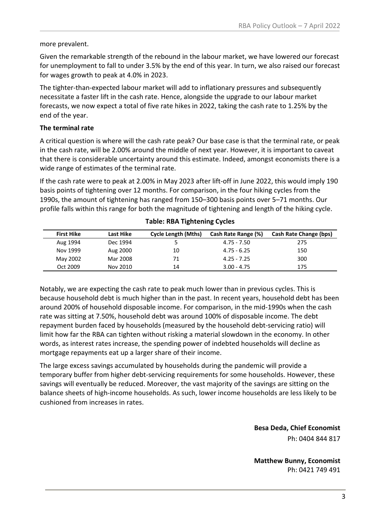#### more prevalent.

Given the remarkable strength of the rebound in the labour market, we have lowered our forecast for unemployment to fall to under 3.5% by the end of this year. In turn, we also raised our forecast for wages growth to peak at 4.0% in 2023.

The tighter-than-expected labour market will add to inflationary pressures and subsequently necessitate a faster lift in the cash rate. Hence, alongside the upgrade to our labour market forecasts, we now expect a total of five rate hikes in 2022, taking the cash rate to 1.25% by the end of the year.

#### **The terminal rate**

A critical question is where will the cash rate peak? Our base case is that the terminal rate, or peak in the cash rate, will be 2.00% around the middle of next year. However, it is important to caveat that there is considerable uncertainty around this estimate. Indeed, amongst economists there is a wide range of estimates of the terminal rate.

If the cash rate were to peak at 2.00% in May 2023 after lift-off in June 2022, this would imply 190 basis points of tightening over 12 months. For comparison, in the four hiking cycles from the 1990s, the amount of tightening has ranged from 150–300 basis points over 5–71 months. Our profile falls within this range for both the magnitude of tightening and length of the hiking cycle.

| <b>First Hike</b> | Last Hike | <b>Cycle Length (Mths)</b> | Cash Rate Range (%) | <b>Cash Rate Change (bps)</b> |
|-------------------|-----------|----------------------------|---------------------|-------------------------------|
| Aug 1994          | Dec 1994  |                            | $4.75 - 7.50$       | 275                           |
| Nov 1999          | Aug 2000  | 10                         | 4.75 - 6.25         | 150                           |
| May 2002          | Mar 2008  | 71                         | $4.25 - 7.25$       | 300                           |
| Oct 2009          | Nov 2010  | 14                         | $3.00 - 4.75$       | 175                           |

#### **Table: RBA Tightening Cycles**

Notably, we are expecting the cash rate to peak much lower than in previous cycles. This is because household debt is much higher than in the past. In recent years, household debt has been around 200% of household disposable income. For comparison, in the mid-1990s when the cash rate was sitting at 7.50%, household debt was around 100% of disposable income. The debt repayment burden faced by households (measured by the household debt-servicing ratio) will limit how far the RBA can tighten without risking a material slowdown in the economy. In other words, as interest rates increase, the spending power of indebted households will decline as mortgage repayments eat up a larger share of their income.

The large excess savings accumulated by households during the pandemic will provide a temporary buffer from higher debt-servicing requirements for some households. However, these savings will eventually be reduced. Moreover, the vast majority of the savings are sitting on the balance sheets of high-income households. As such, lower income households are less likely to be cushioned from increases in rates.

> **Besa Deda, Chief Economist** Ph: 0404 844 817

**Matthew Bunny, Economist** Ph: 0421 749 491